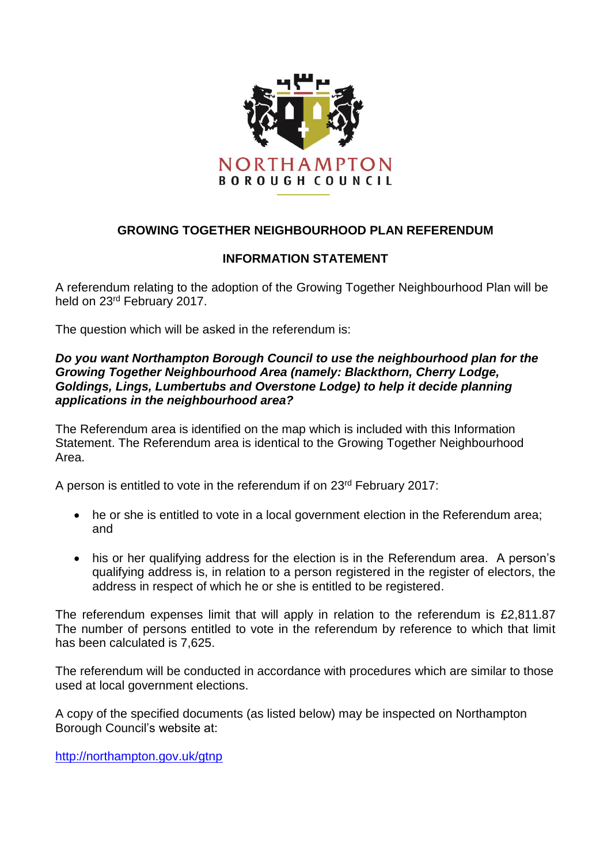

## **GROWING TOGETHER NEIGHBOURHOOD PLAN REFERENDUM**

## **INFORMATION STATEMENT**

A referendum relating to the adoption of the Growing Together Neighbourhood Plan will be held on 23rd February 2017.

The question which will be asked in the referendum is:

## *Do you want Northampton Borough Council to use the neighbourhood plan for the Growing Together Neighbourhood Area (namely: Blackthorn, Cherry Lodge, Goldings, Lings, Lumbertubs and Overstone Lodge) to help it decide planning applications in the neighbourhood area?*

The Referendum area is identified on the map which is included with this Information Statement. The Referendum area is identical to the Growing Together Neighbourhood Area.

A person is entitled to vote in the referendum if on 23rd February 2017:

- he or she is entitled to vote in a local government election in the Referendum area; and
- his or her qualifying address for the election is in the Referendum area. A person's qualifying address is, in relation to a person registered in the register of electors, the address in respect of which he or she is entitled to be registered.

The referendum expenses limit that will apply in relation to the referendum is £2,811.87 The number of persons entitled to vote in the referendum by reference to which that limit has been calculated is 7,625.

The referendum will be conducted in accordance with procedures which are similar to those used at local government elections.

A copy of the specified documents (as listed below) may be inspected on Northampton Borough Council's website at:

<http://northampton.gov.uk/gtnp>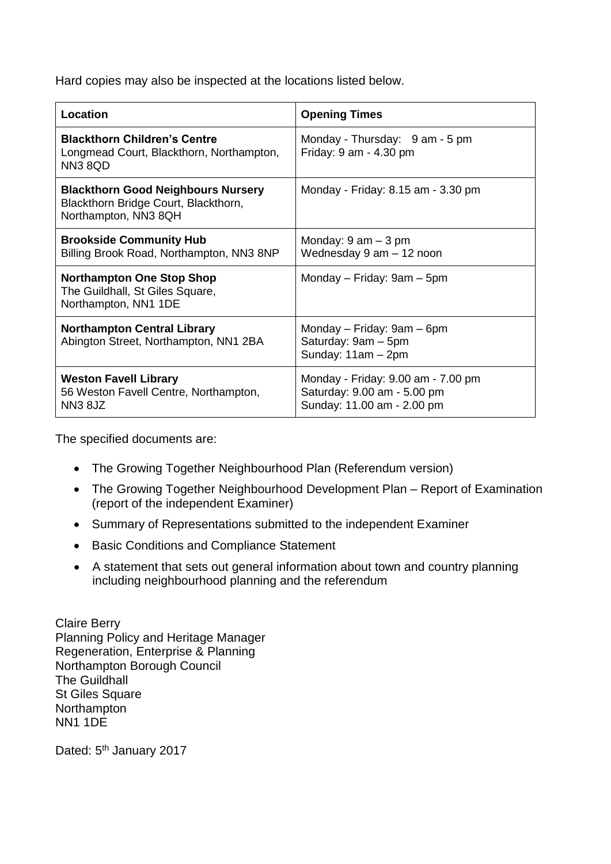Hard copies may also be inspected at the locations listed below.

| Location                                                                                                  | <b>Opening Times</b>                                                                            |
|-----------------------------------------------------------------------------------------------------------|-------------------------------------------------------------------------------------------------|
| <b>Blackthorn Children's Centre</b><br>Longmead Court, Blackthorn, Northampton,<br><b>NN3 8QD</b>         | Monday - Thursday: 9 am - 5 pm<br>Friday: 9 am - 4.30 pm                                        |
| <b>Blackthorn Good Neighbours Nursery</b><br>Blackthorn Bridge Court, Blackthorn,<br>Northampton, NN3 8QH | Monday - Friday: 8.15 am - 3.30 pm                                                              |
| <b>Brookside Community Hub</b><br>Billing Brook Road, Northampton, NN3 8NP                                | Monday: $9 \text{ am} - 3 \text{ pm}$<br>Wednesday 9 am - 12 noon                               |
| <b>Northampton One Stop Shop</b><br>The Guildhall, St Giles Square,<br>Northampton, NN1 1DE               | Monday – Friday: 9am – 5pm                                                                      |
| <b>Northampton Central Library</b><br>Abington Street, Northampton, NN1 2BA                               | Monday – Friday: 9am – 6pm<br>Saturday: 9am - 5pm<br>Sunday: $11am - 2pm$                       |
| <b>Weston Favell Library</b><br>56 Weston Favell Centre, Northampton,<br>NN <sub>3</sub> 8JZ              | Monday - Friday: 9.00 am - 7.00 pm<br>Saturday: 9.00 am - 5.00 pm<br>Sunday: 11.00 am - 2.00 pm |

The specified documents are:

- The Growing Together Neighbourhood Plan (Referendum version)
- The Growing Together Neighbourhood Development Plan Report of Examination (report of the independent Examiner)
- Summary of Representations submitted to the independent Examiner
- Basic Conditions and Compliance Statement
- A statement that sets out general information about town and country planning including neighbourhood planning and the referendum

Claire Berry Planning Policy and Heritage Manager Regeneration, Enterprise & Planning Northampton Borough Council The Guildhall St Giles Square **Northampton** NN1 1DE

Dated: 5<sup>th</sup> January 2017